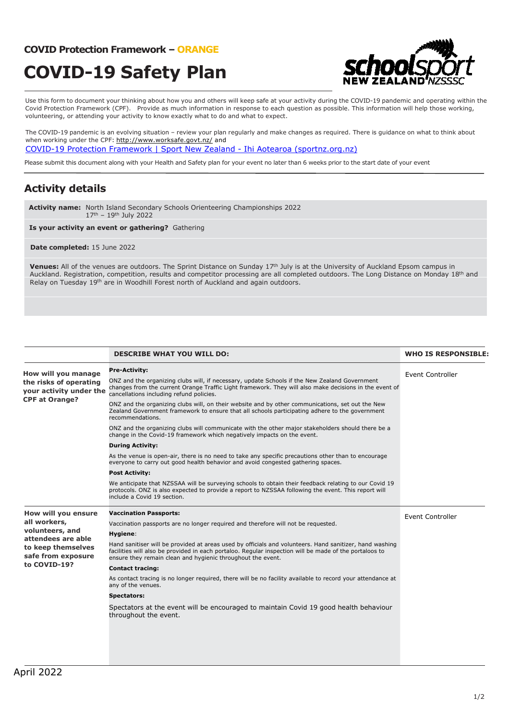#### **COVID Protection Framework – ORANGE**

# **COVID-19 Safety Plan**



Use this form to document your thinking about how you and others will keep safe at your activity during the COVID-19 pandemic and operating within the Covid Protection Framework (CPF). Provide as much information in response to each question as possible. This information will help those working, volunteering, or attending your activity to know exactly what to do and what to expect.

The COVID-19 pandemic is an evolving situation – review your plan regularly and make changes as required. There is guidance on what to think about when working under the CPF: http://www.worksafe.govt.nz/ and

COVID-19 Protection Framework | Sport New Zealand - Ihi Aotearoa (sportnz.org.nz)

Please submit this document along with your Health and Safety plan for your event no later than 6 weeks prior to the start date of your event

### **Activity details**

**Activity name:** North Island Secondary Schools Orienteering Championships 2022 17th – 19th July 2022

**Is your activity an event or gathering?** Gathering

#### **Date completed:** 15 June 2022

Venues: All of the venues are outdoors. The Sprint Distance on Sunday 17<sup>th</sup> July is at the University of Auckland Epsom campus in Auckland. Registration, competition, results and competitor processing are all completed outdoors. The Long Distance on Monday 18th and Relay on Tuesday 19<sup>th</sup> are in Woodhill Forest north of Auckland and again outdoors.

|                                                                                                                                          | <b>DESCRIBE WHAT YOU WILL DO:</b>                                                                                                                                                                                                                                                | <b>WHO IS RESPONSIBLE:</b> |
|------------------------------------------------------------------------------------------------------------------------------------------|----------------------------------------------------------------------------------------------------------------------------------------------------------------------------------------------------------------------------------------------------------------------------------|----------------------------|
| How will you manage<br>the risks of operating<br>your activity under the<br><b>CPF at Orange?</b>                                        | <b>Pre-Activity:</b>                                                                                                                                                                                                                                                             | <b>Event Controller</b>    |
|                                                                                                                                          | ONZ and the organizing clubs will, if necessary, update Schools if the New Zealand Government<br>changes from the current Orange Traffic Light framework. They will also make decisions in the event of<br>cancellations including refund policies.                              |                            |
|                                                                                                                                          | ONZ and the organizing clubs will, on their website and by other communications, set out the New<br>Zealand Government framework to ensure that all schools participating adhere to the government<br>recommendations.                                                           |                            |
|                                                                                                                                          | ONZ and the organizing clubs will communicate with the other major stakeholders should there be a<br>change in the Covid-19 framework which negatively impacts on the event.                                                                                                     |                            |
|                                                                                                                                          | <b>During Activity:</b>                                                                                                                                                                                                                                                          |                            |
|                                                                                                                                          | As the venue is open-air, there is no need to take any specific precautions other than to encourage<br>everyone to carry out good health behavior and avoid congested gathering spaces.                                                                                          |                            |
|                                                                                                                                          | <b>Post Activity:</b>                                                                                                                                                                                                                                                            |                            |
|                                                                                                                                          | We anticipate that NZSSAA will be surveying schools to obtain their feedback relating to our Covid 19<br>protocols. ONZ is also expected to provide a report to NZSSAA following the event. This report will<br>include a Covid 19 section.                                      |                            |
| How will you ensure<br>all workers,<br>volunteers, and<br>attendees are able<br>to keep themselves<br>safe from exposure<br>to COVID-19? | <b>Vaccination Passports:</b>                                                                                                                                                                                                                                                    | Event Controller           |
|                                                                                                                                          | Vaccination passports are no longer required and therefore will not be requested.                                                                                                                                                                                                |                            |
|                                                                                                                                          | Hygiene:                                                                                                                                                                                                                                                                         |                            |
|                                                                                                                                          | Hand sanitiser will be provided at areas used by officials and volunteers. Hand sanitizer, hand washing<br>facilities will also be provided in each portaloo. Regular inspection will be made of the portaloos to<br>ensure they remain clean and hygienic throughout the event. |                            |
|                                                                                                                                          | <b>Contact tracing:</b>                                                                                                                                                                                                                                                          |                            |
|                                                                                                                                          | As contact tracing is no longer required, there will be no facility available to record your attendance at<br>any of the venues.                                                                                                                                                 |                            |
|                                                                                                                                          | <b>Spectators:</b>                                                                                                                                                                                                                                                               |                            |
|                                                                                                                                          | Spectators at the event will be encouraged to maintain Covid 19 good health behaviour<br>throughout the event.                                                                                                                                                                   |                            |
|                                                                                                                                          |                                                                                                                                                                                                                                                                                  |                            |
|                                                                                                                                          |                                                                                                                                                                                                                                                                                  |                            |
|                                                                                                                                          |                                                                                                                                                                                                                                                                                  |                            |